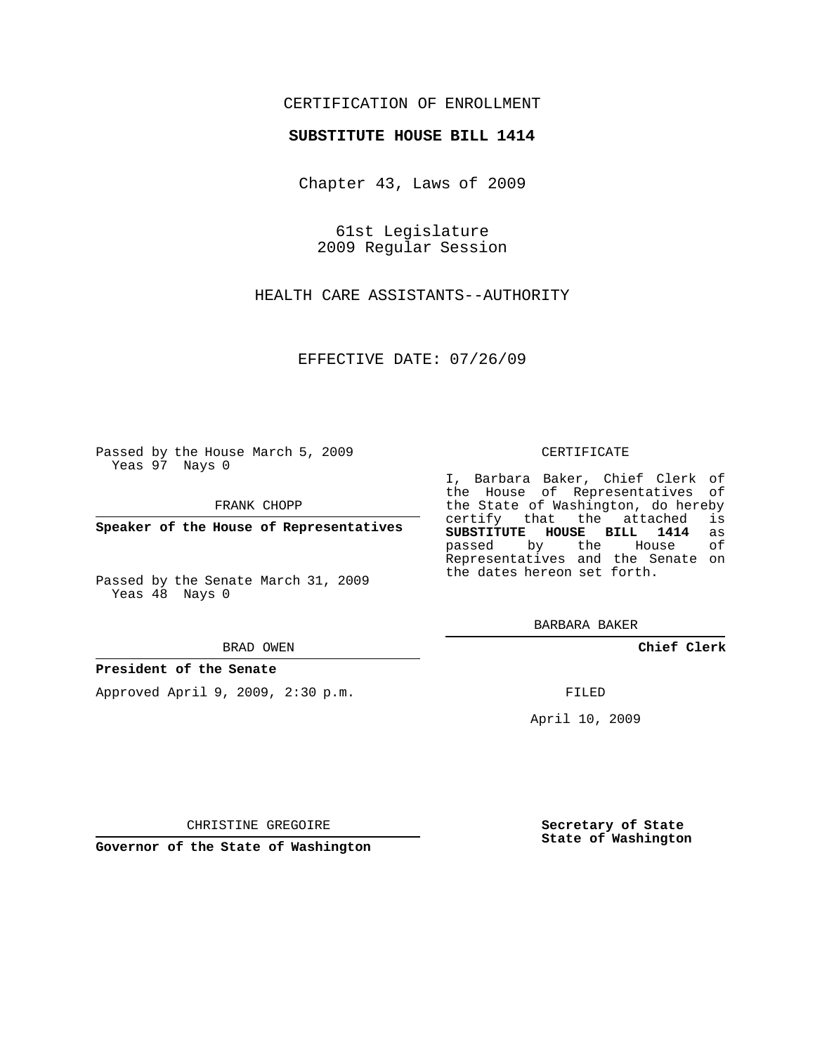# CERTIFICATION OF ENROLLMENT

## **SUBSTITUTE HOUSE BILL 1414**

Chapter 43, Laws of 2009

61st Legislature 2009 Regular Session

HEALTH CARE ASSISTANTS--AUTHORITY

EFFECTIVE DATE: 07/26/09

Passed by the House March 5, 2009 Yeas 97 Nays 0

FRANK CHOPP

**Speaker of the House of Representatives**

Passed by the Senate March 31, 2009 Yeas 48 Nays 0

#### BRAD OWEN

### **President of the Senate**

Approved April 9, 2009, 2:30 p.m.

#### CERTIFICATE

I, Barbara Baker, Chief Clerk of the House of Representatives of the State of Washington, do hereby<br>certify that the attached is certify that the attached **SUBSTITUTE HOUSE BILL 1414** as passed by the Representatives and the Senate on the dates hereon set forth.

BARBARA BAKER

**Chief Clerk**

FILED

April 10, 2009

**Secretary of State State of Washington**

CHRISTINE GREGOIRE

**Governor of the State of Washington**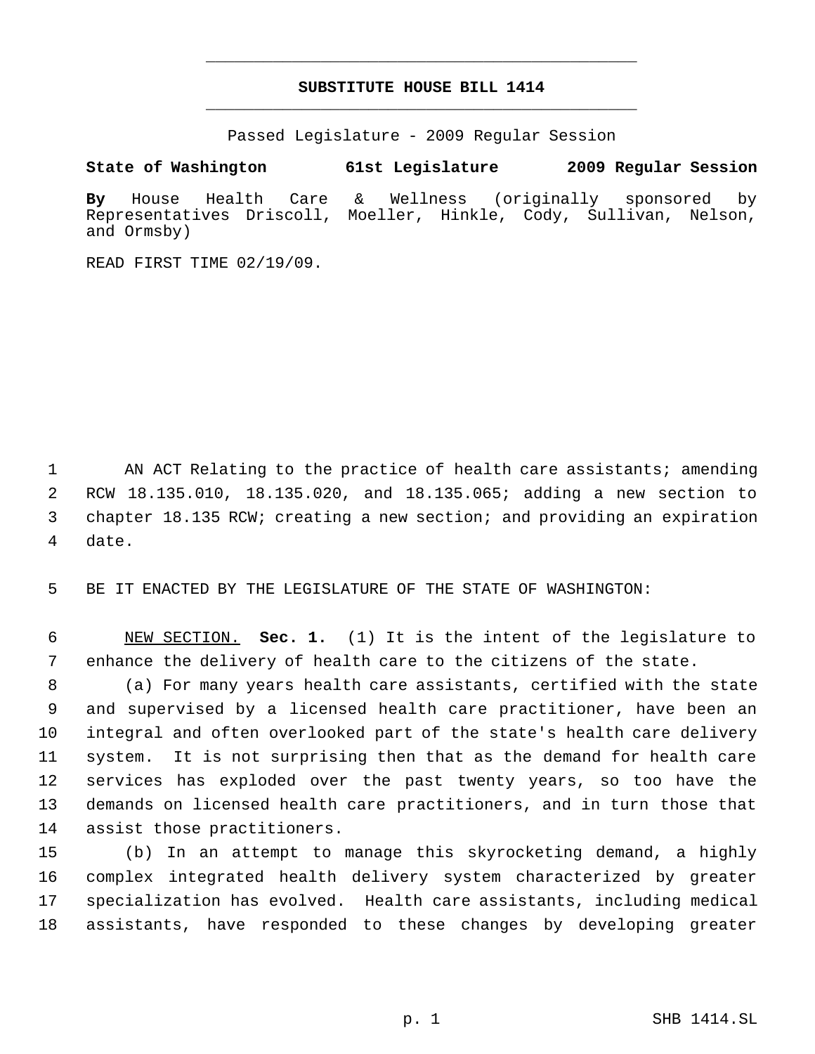# **SUBSTITUTE HOUSE BILL 1414** \_\_\_\_\_\_\_\_\_\_\_\_\_\_\_\_\_\_\_\_\_\_\_\_\_\_\_\_\_\_\_\_\_\_\_\_\_\_\_\_\_\_\_\_\_

\_\_\_\_\_\_\_\_\_\_\_\_\_\_\_\_\_\_\_\_\_\_\_\_\_\_\_\_\_\_\_\_\_\_\_\_\_\_\_\_\_\_\_\_\_

Passed Legislature - 2009 Regular Session

**State of Washington 61st Legislature 2009 Regular Session**

**By** House Health Care & Wellness (originally sponsored by Representatives Driscoll, Moeller, Hinkle, Cody, Sullivan, Nelson, and Ormsby)

READ FIRST TIME 02/19/09.

1 AN ACT Relating to the practice of health care assistants; amending RCW 18.135.010, 18.135.020, and 18.135.065; adding a new section to chapter 18.135 RCW; creating a new section; and providing an expiration date.

BE IT ENACTED BY THE LEGISLATURE OF THE STATE OF WASHINGTON:

 NEW SECTION. **Sec. 1.** (1) It is the intent of the legislature to enhance the delivery of health care to the citizens of the state.

 (a) For many years health care assistants, certified with the state and supervised by a licensed health care practitioner, have been an integral and often overlooked part of the state's health care delivery system. It is not surprising then that as the demand for health care services has exploded over the past twenty years, so too have the demands on licensed health care practitioners, and in turn those that assist those practitioners.

 (b) In an attempt to manage this skyrocketing demand, a highly complex integrated health delivery system characterized by greater specialization has evolved. Health care assistants, including medical assistants, have responded to these changes by developing greater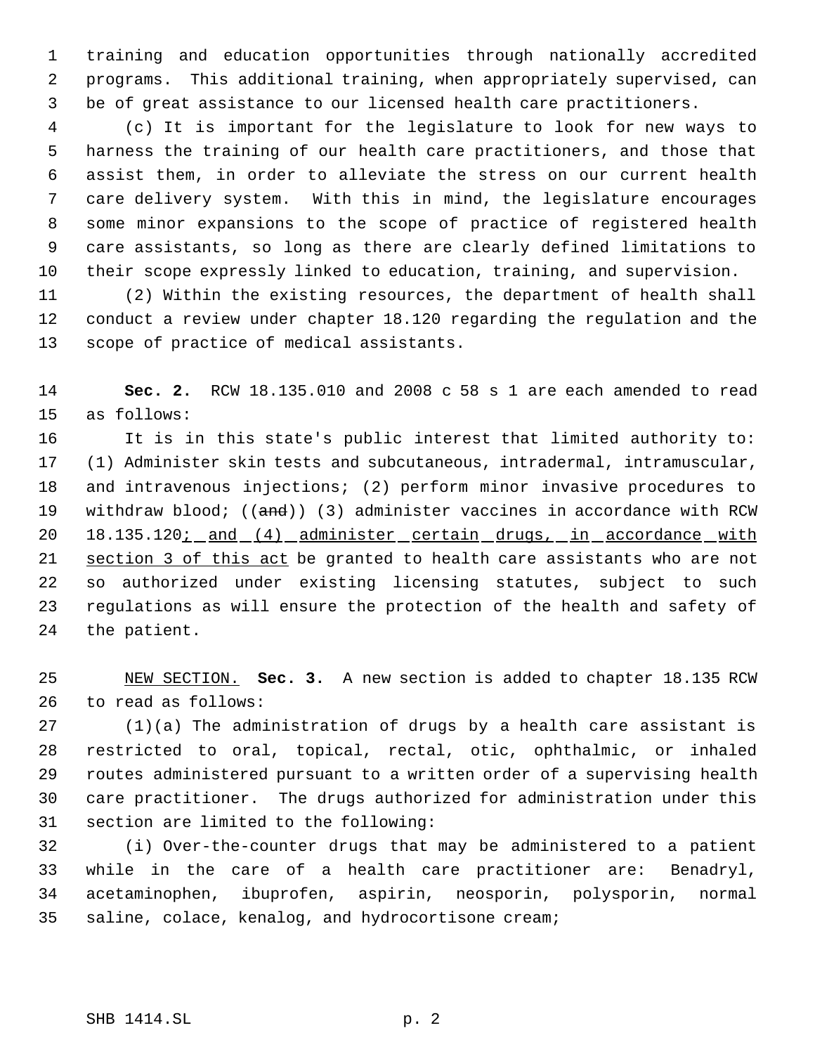training and education opportunities through nationally accredited programs. This additional training, when appropriately supervised, can be of great assistance to our licensed health care practitioners.

 (c) It is important for the legislature to look for new ways to harness the training of our health care practitioners, and those that assist them, in order to alleviate the stress on our current health care delivery system. With this in mind, the legislature encourages some minor expansions to the scope of practice of registered health care assistants, so long as there are clearly defined limitations to their scope expressly linked to education, training, and supervision.

 (2) Within the existing resources, the department of health shall conduct a review under chapter 18.120 regarding the regulation and the scope of practice of medical assistants.

 **Sec. 2.** RCW 18.135.010 and 2008 c 58 s 1 are each amended to read as follows:

 It is in this state's public interest that limited authority to: (1) Administer skin tests and subcutaneous, intradermal, intramuscular, and intravenous injections; (2) perform minor invasive procedures to 19 withdraw blood; ((and)) (3) administer vaccines in accordance with RCW 20 18.135.120; and (4) administer certain drugs, in accordance with 21 section 3 of this act be granted to health care assistants who are not so authorized under existing licensing statutes, subject to such regulations as will ensure the protection of the health and safety of the patient.

 NEW SECTION. **Sec. 3.** A new section is added to chapter 18.135 RCW to read as follows:

 (1)(a) The administration of drugs by a health care assistant is restricted to oral, topical, rectal, otic, ophthalmic, or inhaled routes administered pursuant to a written order of a supervising health care practitioner. The drugs authorized for administration under this section are limited to the following:

 (i) Over-the-counter drugs that may be administered to a patient while in the care of a health care practitioner are: Benadryl, acetaminophen, ibuprofen, aspirin, neosporin, polysporin, normal saline, colace, kenalog, and hydrocortisone cream;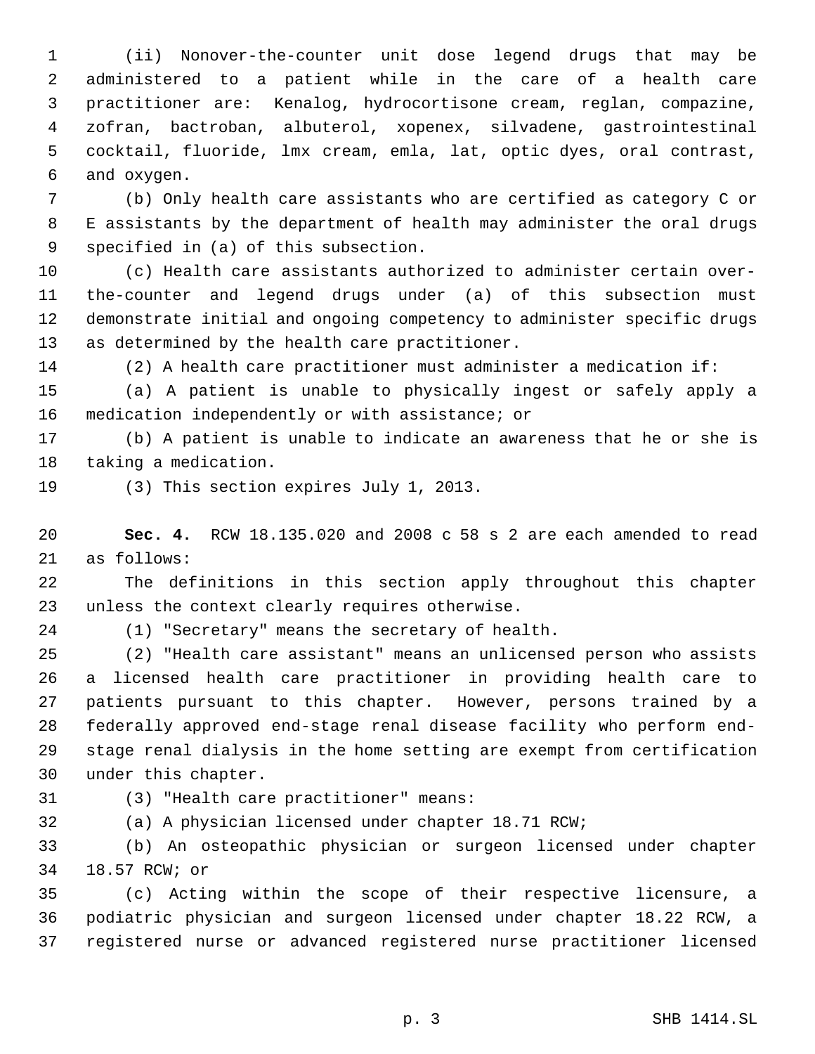(ii) Nonover-the-counter unit dose legend drugs that may be administered to a patient while in the care of a health care practitioner are: Kenalog, hydrocortisone cream, reglan, compazine, zofran, bactroban, albuterol, xopenex, silvadene, gastrointestinal cocktail, fluoride, lmx cream, emla, lat, optic dyes, oral contrast, and oxygen.

 (b) Only health care assistants who are certified as category C or E assistants by the department of health may administer the oral drugs specified in (a) of this subsection.

 (c) Health care assistants authorized to administer certain over- the-counter and legend drugs under (a) of this subsection must demonstrate initial and ongoing competency to administer specific drugs as determined by the health care practitioner.

(2) A health care practitioner must administer a medication if:

 (a) A patient is unable to physically ingest or safely apply a medication independently or with assistance; or

 (b) A patient is unable to indicate an awareness that he or she is taking a medication.

(3) This section expires July 1, 2013.

 **Sec. 4.** RCW 18.135.020 and 2008 c 58 s 2 are each amended to read as follows:

 The definitions in this section apply throughout this chapter unless the context clearly requires otherwise.

(1) "Secretary" means the secretary of health.

 (2) "Health care assistant" means an unlicensed person who assists a licensed health care practitioner in providing health care to patients pursuant to this chapter. However, persons trained by a federally approved end-stage renal disease facility who perform end- stage renal dialysis in the home setting are exempt from certification under this chapter.

(3) "Health care practitioner" means:

(a) A physician licensed under chapter 18.71 RCW;

 (b) An osteopathic physician or surgeon licensed under chapter 18.57 RCW; or

 (c) Acting within the scope of their respective licensure, a podiatric physician and surgeon licensed under chapter 18.22 RCW, a registered nurse or advanced registered nurse practitioner licensed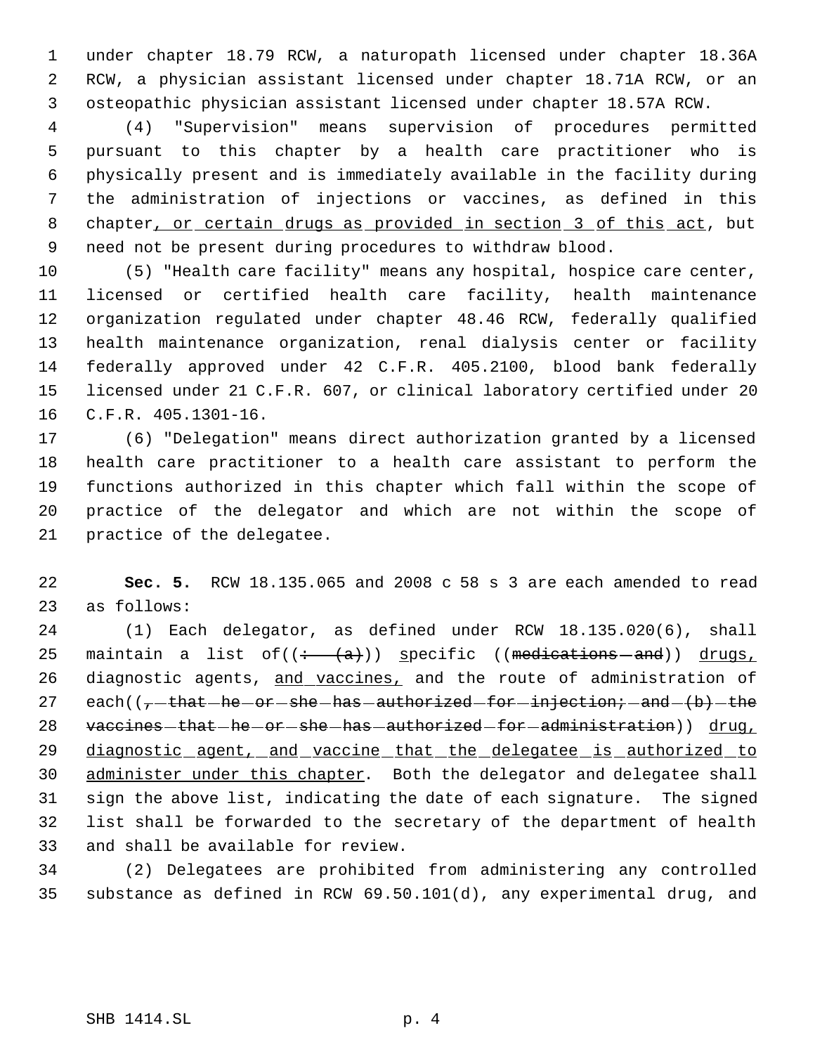under chapter 18.79 RCW, a naturopath licensed under chapter 18.36A RCW, a physician assistant licensed under chapter 18.71A RCW, or an osteopathic physician assistant licensed under chapter 18.57A RCW.

 (4) "Supervision" means supervision of procedures permitted pursuant to this chapter by a health care practitioner who is physically present and is immediately available in the facility during the administration of injections or vaccines, as defined in this 8 chapter, or certain drugs as provided in section 3 of this act, but need not be present during procedures to withdraw blood.

 (5) "Health care facility" means any hospital, hospice care center, licensed or certified health care facility, health maintenance organization regulated under chapter 48.46 RCW, federally qualified health maintenance organization, renal dialysis center or facility federally approved under 42 C.F.R. 405.2100, blood bank federally licensed under 21 C.F.R. 607, or clinical laboratory certified under 20 C.F.R. 405.1301-16.

 (6) "Delegation" means direct authorization granted by a licensed health care practitioner to a health care assistant to perform the functions authorized in this chapter which fall within the scope of practice of the delegator and which are not within the scope of practice of the delegatee.

 **Sec. 5.** RCW 18.135.065 and 2008 c 58 s 3 are each amended to read as follows:

 (1) Each delegator, as defined under RCW 18.135.020(6), shall 25 maintain a list of( $\left(\frac{+}{+}(a)\right)$ ) specific ((medications - and)) drugs, 26 diagnostic agents, and vaccines, and the route of administration of 27 each( $(-t + h + h + or - sh - h + h + o$  authorized for injection; and  $(b)$  the 28 vaccines that he or she has authorized for administration)) drug, 29 diagnostic agent, and vaccine that the delegatee is authorized to 30 administer under this chapter. Both the delegator and delegatee shall sign the above list, indicating the date of each signature. The signed list shall be forwarded to the secretary of the department of health and shall be available for review.

 (2) Delegatees are prohibited from administering any controlled substance as defined in RCW 69.50.101(d), any experimental drug, and